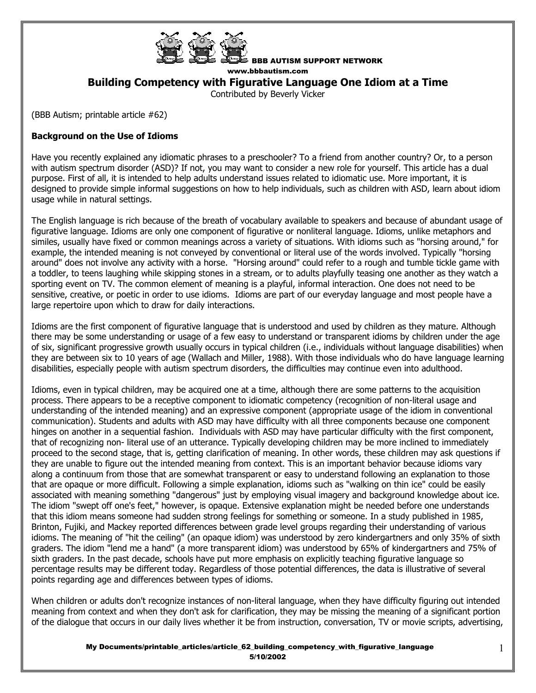

BBB AUTISM SUPPORT NETWORK

www.bbbautism.com

**Building Competency with Figurative Language One Idiom at a Time** 

Contributed by Beverly Vicker

(BBB Autism; printable article #62)

# **Background on the Use of Idioms**

Have you recently explained any idiomatic phrases to a preschooler? To a friend from another country? Or, to a person with autism spectrum disorder (ASD)? If not, you may want to consider a new role for yourself. This article has a dual purpose. First of all, it is intended to help adults understand issues related to idiomatic use. More important, it is designed to provide simple informal suggestions on how to help individuals, such as children with ASD, learn about idiom usage while in natural settings.

The English language is rich because of the breath of vocabulary available to speakers and because of abundant usage of figurative language. Idioms are only one component of figurative or nonliteral language. Idioms, unlike metaphors and similes, usually have fixed or common meanings across a variety of situations. With idioms such as "horsing around," for example, the intended meaning is not conveyed by conventional or literal use of the words involved. Typically "horsing around" does not involve any activity with a horse. "Horsing around" could refer to a rough and tumble tickle game with a toddler, to teens laughing while skipping stones in a stream, or to adults playfully teasing one another as they watch a sporting event on TV. The common element of meaning is a playful, informal interaction. One does not need to be sensitive, creative, or poetic in order to use idioms. Idioms are part of our everyday language and most people have a large repertoire upon which to draw for daily interactions.

Idioms are the first component of figurative language that is understood and used by children as they mature. Although there may be some understanding or usage of a few easy to understand or transparent idioms by children under the age of six, significant progressive growth usually occurs in typical children (i.e., individuals without language disabilities) when they are between six to 10 years of age (Wallach and Miller, 1988). With those individuals who do have language learning disabilities, especially people with autism spectrum disorders, the difficulties may continue even into adulthood.

Idioms, even in typical children, may be acquired one at a time, although there are some patterns to the acquisition process. There appears to be a receptive component to idiomatic competency (recognition of non-literal usage and understanding of the intended meaning) and an expressive component (appropriate usage of the idiom in conventional communication). Students and adults with ASD may have difficulty with all three components because one component hinges on another in a sequential fashion. Individuals with ASD may have particular difficulty with the first component, that of recognizing non- literal use of an utterance. Typically developing children may be more inclined to immediately proceed to the second stage, that is, getting clarification of meaning. In other words, these children may ask questions if they are unable to figure out the intended meaning from context. This is an important behavior because idioms vary along a continuum from those that are somewhat transparent or easy to understand following an explanation to those that are opaque or more difficult. Following a simple explanation, idioms such as "walking on thin ice" could be easily associated with meaning something "dangerous" just by employing visual imagery and background knowledge about ice. The idiom "swept off one's feet," however, is opaque. Extensive explanation might be needed before one understands that this idiom means someone had sudden strong feelings for something or someone. In a study published in 1985, Brinton, Fujiki, and Mackey reported differences between grade level groups regarding their understanding of various idioms. The meaning of "hit the ceiling" (an opaque idiom) was understood by zero kindergartners and only 35% of sixth graders. The idiom "lend me a hand" (a more transparent idiom) was understood by 65% of kindergartners and 75% of sixth graders. In the past decade, schools have put more emphasis on explicitly teaching figurative language so percentage results may be different today. Regardless of those potential differences, the data is illustrative of several points regarding age and differences between types of idioms.

When children or adults don't recognize instances of non-literal language, when they have difficulty figuring out intended meaning from context and when they don't ask for clarification, they may be missing the meaning of a significant portion of the dialogue that occurs in our daily lives whether it be from instruction, conversation, TV or movie scripts, advertising,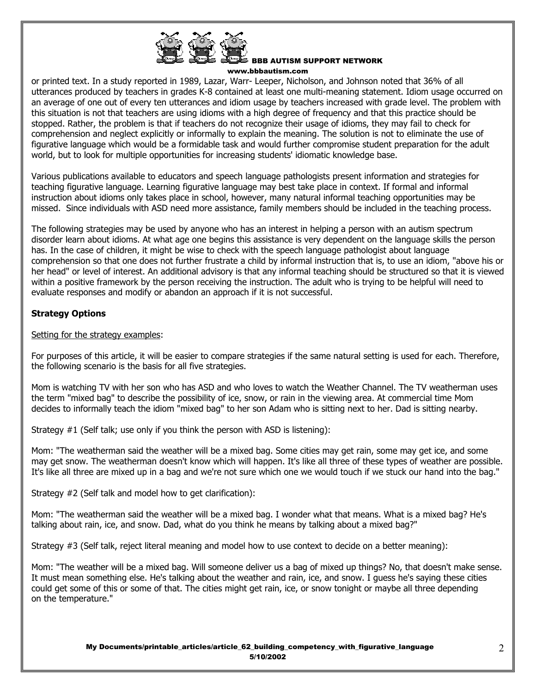

#### BBB AUTISM SUPPORT NETWORK www.bbbautism.com

or printed text. In a study reported in 1989, Lazar, Warr- Leeper, Nicholson, and Johnson noted that 36% of all utterances produced by teachers in grades K-8 contained at least one multi-meaning statement. Idiom usage occurred on an average of one out of every ten utterances and idiom usage by teachers increased with grade level. The problem with this situation is not that teachers are using idioms with a high degree of frequency and that this practice should be stopped. Rather, the problem is that if teachers do not recognize their usage of idioms, they may fail to check for comprehension and neglect explicitly or informally to explain the meaning. The solution is not to eliminate the use of figurative language which would be a formidable task and would further compromise student preparation for the adult world, but to look for multiple opportunities for increasing students' idiomatic knowledge base.

Various publications available to educators and speech language pathologists present information and strategies for teaching figurative language. Learning figurative language may best take place in context. If formal and informal instruction about idioms only takes place in school, however, many natural informal teaching opportunities may be missed. Since individuals with ASD need more assistance, family members should be included in the teaching process.

The following strategies may be used by anyone who has an interest in helping a person with an autism spectrum disorder learn about idioms. At what age one begins this assistance is very dependent on the language skills the person has. In the case of children, it might be wise to check with the speech language pathologist about language comprehension so that one does not further frustrate a child by informal instruction that is, to use an idiom, "above his or her head" or level of interest. An additional advisory is that any informal teaching should be structured so that it is viewed within a positive framework by the person receiving the instruction. The adult who is trying to be helpful will need to evaluate responses and modify or abandon an approach if it is not successful.

# **Strategy Options**

# Setting for the strategy examples:

For purposes of this article, it will be easier to compare strategies if the same natural setting is used for each. Therefore, the following scenario is the basis for all five strategies.

Mom is watching TV with her son who has ASD and who loves to watch the Weather Channel. The TV weatherman uses the term "mixed bag" to describe the possibility of ice, snow, or rain in the viewing area. At commercial time Mom decides to informally teach the idiom "mixed bag" to her son Adam who is sitting next to her. Dad is sitting nearby.

Strategy #1 (Self talk; use only if you think the person with ASD is listening):

Mom: "The weatherman said the weather will be a mixed bag. Some cities may get rain, some may get ice, and some may get snow. The weatherman doesn't know which will happen. It's like all three of these types of weather are possible. It's like all three are mixed up in a bag and we're not sure which one we would touch if we stuck our hand into the bag."

Strategy #2 (Self talk and model how to get clarification):

Mom: "The weatherman said the weather will be a mixed bag. I wonder what that means. What is a mixed bag? He's talking about rain, ice, and snow. Dad, what do you think he means by talking about a mixed bag?"

Strategy #3 (Self talk, reject literal meaning and model how to use context to decide on a better meaning):

Mom: "The weather will be a mixed bag. Will someone deliver us a bag of mixed up things? No, that doesn't make sense. It must mean something else. He's talking about the weather and rain, ice, and snow. I guess he's saying these cities could get some of this or some of that. The cities might get rain, ice, or snow tonight or maybe all three depending on the temperature."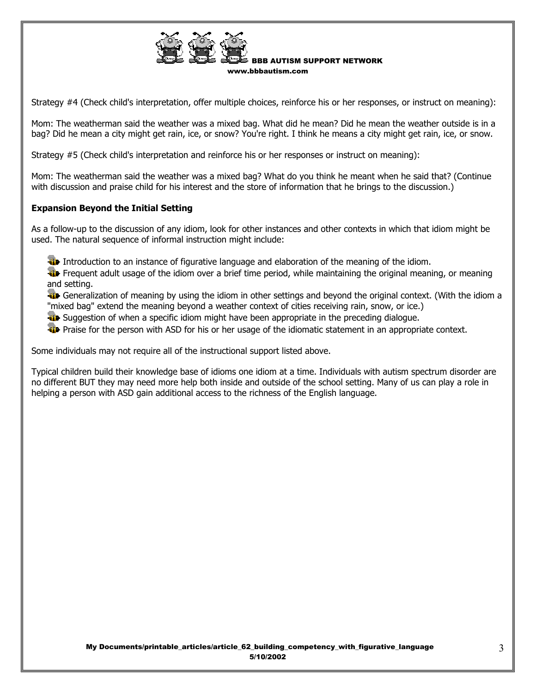

Strategy #4 (Check child's interpretation, offer multiple choices, reinforce his or her responses, or instruct on meaning):

Mom: The weatherman said the weather was a mixed bag. What did he mean? Did he mean the weather outside is in a bag? Did he mean a city might get rain, ice, or snow? You're right. I think he means a city might get rain, ice, or snow.

Strategy #5 (Check child's interpretation and reinforce his or her responses or instruct on meaning):

Mom: The weatherman said the weather was a mixed bag? What do you think he meant when he said that? (Continue with discussion and praise child for his interest and the store of information that he brings to the discussion.)

#### **Expansion Beyond the Initial Setting**

As a follow-up to the discussion of any idiom, look for other instances and other contexts in which that idiom might be used. The natural sequence of informal instruction might include:

Introduction to an instance of figurative language and elaboration of the meaning of the idiom.

**Fig.** Frequent adult usage of the idiom over a brief time period, while maintaining the original meaning, or meaning and setting.

**Generalization of meaning by using the idiom in other settings and beyond the original context. (With the idiom a** "mixed bag" extend the meaning beyond a weather context of cities receiving rain, snow, or ice.)

**W** Suggestion of when a specific idiom might have been appropriate in the preceding dialogue.

**Praise for the person with ASD for his or her usage of the idiomatic statement in an appropriate context.** 

Some individuals may not require all of the instructional support listed above.

Typical children build their knowledge base of idioms one idiom at a time. Individuals with autism spectrum disorder are no different BUT they may need more help both inside and outside of the school setting. Many of us can play a role in helping a person with ASD gain additional access to the richness of the English language.